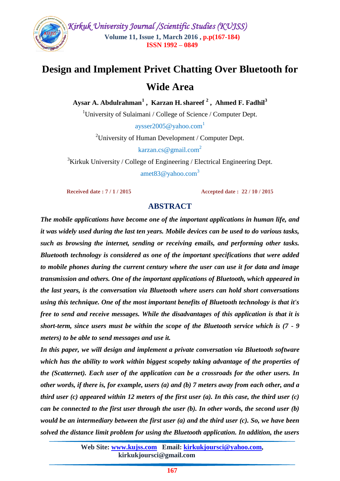

# **Design and Implement Privet Chatting Over Bluetooth for Wide Area**

**Aysar A. Abdulrahman<sup>1</sup> , Karzan H.shareef <sup>2</sup> , Ahmed F. Fadhil<sup>3</sup>**

<sup>1</sup>University of Sulaimani / College of Science / Computer Dept.

 $\alpha$ ysser2005@yahoo.com<sup>1</sup>

<sup>2</sup>University of Human Development / Computer Dept.

karzan.cs@gmail.com<sup>2</sup>

<sup>3</sup>Kirkuk University / College of Engineering / Electrical Engineering Dept. amet83@yahoo.com<sup>3</sup>

**Received date : 7 / 1 / 2015 Accepted date : 22 / 10 / 2015**

# **ABSTRACT**

*The mobile applications have become one of the important applications in human life, and it was widely used during the last ten years. Mobile devices can be used to do various tasks, such as browsing the internet, sending or receiving emails, and performing other tasks. Bluetooth technology is considered as one of the important specifications that were added to mobile phones during the current century where the user can use it for data and image transmission and others. One of the important applications of Bluetooth, which appeared in the last years, is the conversation via Bluetooth where users can hold short conversations using this technique. One of the most important benefits of Bluetooth technology is that it's free to send and receive messages. While the disadvantages of this application is that it is short-term, since users must be within the scope of the Bluetooth service which is (7 - 9 meters) to be able to send messages and use it.*

*In this paper, we will design and implement a private conversation via Bluetooth software which has the ability to work within biggest scopeby taking advantage of the properties of the (Scatternet). Each user of the application can be a crossroads for the other users. In other words, if there is, for example, users (a) and (b) 7 meters away from each other, and a third user (c) appeared within 12 meters of the first user (a). In this case, the third user (c) can be connected to the first user through the user (b). In other words, the second user (b) would be an intermediary between the first user (a) and the third user (c). So, we have been solved the distance limit problem for using the Bluetooth application. In addition, the users*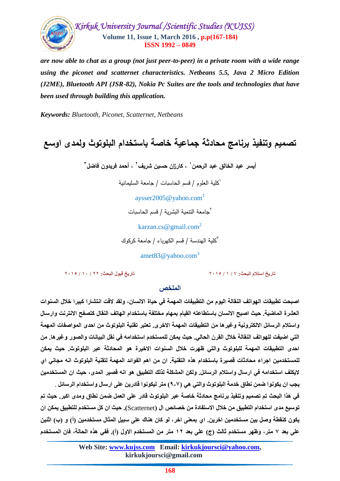

*are now able to chat as a group (not just peer-to-peer) in a private room with a wide range using the piconet and scatternet characteristics. Netbeans 5.5, Java 2 Micro Edition (J2ME), Bluetooth API (JSR-82), Nokia Pc Suites are the tools and technologies that have been used through building this application.*

*Keywords: Bluetooth, Piconet, Scatternet, Netbeans*

# **تصميم وتنفيذ برنامج محادثة جماعية خاصة باستخدام البموتوث ولمدى اوسع**

**2 ، كارزان حسين شريف <sup>1</sup> أيسر عبد الخالق عبد الرحمن 3 ، أحمد فريدون فاضل**

1 كمية العموم / قسم الحاسبات / جامعة السميمانية

aysser2005@yahoo.com<sup>1</sup>

جامعة التنمية البشرية / قسم الحاسبات <sup>2</sup>

karzan.cs@gmail.com<sup>2</sup>

3 كمية الهندسة / قسم الكهرباء / جامعة كركوك

amet83@yahoo.com<sup>3</sup>

**ذار٠خ اسرالَ اٌثحس: 7 / 1 / 2015 ذار٠خ لثٛي اٌثحس: 22 / 10 / 2015**

#### **اٌٍّخص**

اصبحت تطبيقات الـهواتف النقالـة اليوم من التطبيفات المـهمـة في حياة الانسـان، ولقد لاقت انتشارا كبيرا خلال السنوات العشرة الماضية. حيث اصبح الانسان باستطاعته القيام بمهام مختلفة باستخدام الـهاتف النقال كتصفح الانترنت وارسال واستلام الرسائل الالكترونية وغيرها من التطبيقات المهمة الاخرى. تعتبر تقنية البلوتوث من احدى المواصفات المهمة التي اضيفت للهواتف النقالة خلال القرن الحالي. حيث يمكن للمستخدم استخدامه في نقل البيانات والصور وغير ها. من احدى التطبيقات المهمة للبلوتوث والتي ظهرت خلال السنوات الاخيرة هو المحادثة عبر البلوتوث. حيث يمكن للمستخدمين اجراء محادثات قصيرة باستخدام هذه التقنية<sub>.</sub> ان من اهم الفوائد المهمة لتقنية البلوتوث انه مجان*ى* اى لايكلف استخدامه في ارسال واستلام الرسائل. ولكن المشكلة لذلك التطبيق هو انـه قصير المدى، حيث ان المستخدمين يجب ان يكونوا ضمن نطاق خدمة البلوتوث والتي هي (٧-٩) متر ليكونوا قادرين على ارسال واستخدام الرسائل <sub>.</sub> في هذا البحث تم تصميم وتنفيذ برنامج محادثة خاصة عبر البلوتوث قادر على الع*مل ضمن* نطاق ومدى اكبر. حيث تم توسيع مدى استخدام التطبيق من خلال الاستفادة من خصائص ال (Scatternet**). حي**ث ان كل مستخدم للتطبيق يمكن ان يكون كنقطة وصل بين مستخدمين اخرين. اي بمع*نى* اخر ، لو كان هناك على سبيل المثال مستخدمين (أ) و (ب) اثنين على بعد ٧ متر، وظهر مستخدم ثالث (ج) على بعد ١٢ متر من المستخدم الاول (أ). ففي هذه الحالة، فان المستخدم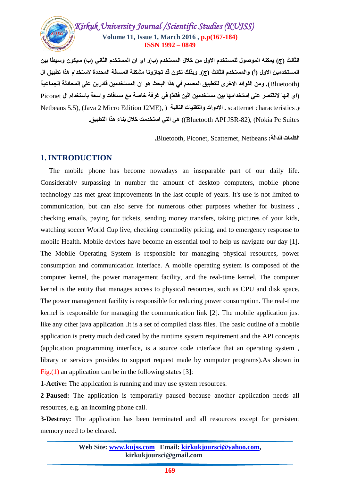# *Kirkuk University Journal /Scientific Studies (KUJSS)*  **Volume 11, Issue 1, March 2016 , p.p(167-184) ISSN 1992 – 0849**

الثالث (ج) يمكنه الموصول للمستخدم الاول من خلال المستخدم (ب). اى ان المستخدم الثان*ي* (ب) سيكون وسيطا بين المستخدمين الاول (أ) والمستخدم الثالث (ج). وبذلك نكون قد تجازونا مشكلة المسافة المحددة لاستخدام هذا تطبيق ال **)**Bluetooth**). ِٓٚ اٌفٛائذ االخزٜ ٌٍرطث١ك اٌّصُّ فٟ ٘ذا اٌثحس ٛ٘ اْ اٌّسرخذٓ١ِ لادرٓ٠ عٍٝ اٌّحادشح اٌعّاع١ح )اٞ اٙٔا الذمرصز عٍٝ اسرخذاِٙا تٓ١ ِسرخذٓ١ِ اشٓ١ فمط( فٟ غزفح خاصح ِع ِسافاخ ٚاسعح تاسرخذاَ اي** Piconet **و scatternet characteristics . الادوات والتقنيات التالية ( Netbeans 5.5), (Java 2 Micro Edition J2ME),** Bluetooth API JSR-82), (Nokia Pc Suites) هي التي استخدمت خلال بناء هذا التطبيق.

**اٌىٍّاخ اٌذاٌح:** Netbeans ,Scatternet ,Piconet ,Bluetooth**.**

# **1.INTRODUCTION**

 The mobile phone has become nowadays an inseparable part of our daily life. Considerably surpassing in number the amount of desktop computers, mobile phone technology has met great improvements in the last couple of years. It's use is not limited to communication, but can also serve for numerous other purposes whether for business , checking emails, paying for tickets, sending money transfers, taking pictures of your kids, watching soccer World Cup live, checking commodity pricing, and to emergency response to mobile Health. Mobile devices have become an essential tool to help us navigate our day [1]. The Mobile Operating System is responsible for managing physical resources, power consumption and communication interface. A mobile operating system is composed of the computer kernel, the power management facility, and the real-time kernel. The computer kernel is the entity that manages access to physical resources, such as CPU and disk space. The power management facility is responsible for reducing power consumption. The real-time kernel is responsible for managing the communication link [2]. The mobile application just like any other java application .It is a set of compiled class files. The basic outline of a mobile application is pretty much dedicated by the runtime system requirement and the API concepts (application programming interface, is a source code interface that an operating system , library or services provides to support request made by computer programs).As shown in Fig. $(1)$  an application can be in the following states [3]:

**1-Active:** The application is running and may use system resources.

**2-Paused:** The application is temporarily paused because another application needs all resources, e.g. an incoming phone call.

**3-Destroy:** The application has been terminated and all resources except for persistent memory need to be cleared.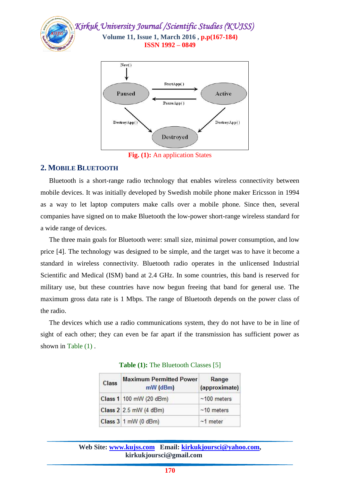



**Fig. (1):** An application States

### **2. MOBILE BLUETOOTH**

 Bluetooth is a short-range radio technology that enables wireless connectivity between mobile devices. It was initially developed by Swedish mobile phone maker Ericsson in 1994 as a way to let laptop computers make calls over a mobile phone. Since then, several companies have signed on to make Bluetooth the low-power short-range wireless standard for a wide range of devices.

 The three main goals for Bluetooth were: small size, minimal power consumption, and low price [4]. The technology was designed to be simple, and the target was to have it become a standard in wireless connectivity. Bluetooth radio operates in the unlicensed Industrial Scientific and Medical (ISM) band at 2.4 GHz. In some countries, this band is reserved for military use, but these countries have now begun freeing that band for general use. The maximum gross data rate is 1 Mbps. The range of Bluetooth depends on the power class of the radio.

 The devices which use a radio communications system, they do not have to be in line of sight of each other; they can even be far apart if the transmission has sufficient power as shown in Table (1) .

| <b>Maximum Permitted Power</b><br>Class<br>mW (dBm) |                         | Range<br>(approximate) |  |
|-----------------------------------------------------|-------------------------|------------------------|--|
|                                                     | Class 1 100 mW (20 dBm) | $~100$ meters          |  |
|                                                     | Class 2 2.5 mW (4 dBm)  | $~10$ meters           |  |
|                                                     | Class 3 1 mW (0 dBm)    | $~1$ meter             |  |

#### **Table (1):** The Bluetooth Classes [5]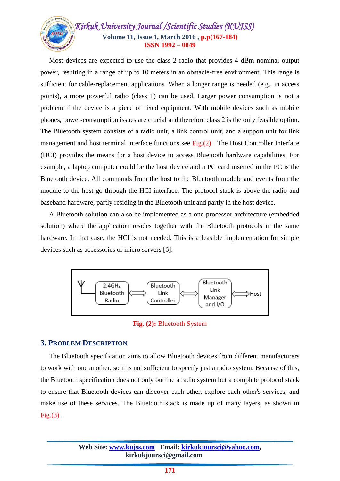

 Most devices are expected to use the class 2 radio that provides 4 dBm nominal output power, resulting in a range of up to 10 meters in an obstacle-free environment. This range is sufficient for cable-replacement applications. When a longer range is needed (e.g., in access points), a more powerful radio (class 1) can be used. Larger power consumption is not a problem if the device is a piece of fixed equipment. With mobile devices such as mobile phones, power-consumption issues are crucial and therefore class 2 is the only feasible option. The Bluetooth system consists of a radio unit, a link control unit, and a support unit for link management and host terminal interface functions see  $Fig.(2)$ . The Host Controller Interface (HCI) provides the means for a host device to access Bluetooth hardware capabilities. For example, a laptop computer could be the host device and a PC card inserted in the PC is the Bluetooth device. All commands from the host to the Bluetooth module and events from the module to the host go through the HCI interface. The protocol stack is above the radio and baseband hardware, partly residing in the Bluetooth unit and partly in the host device.

 A Bluetooth solution can also be implemented as a one-processor architecture (embedded solution) where the application resides together with the Bluetooth protocols in the same hardware. In that case, the HCI is not needed. This is a feasible implementation for simple devices such as accessories or micro servers [6].



**Fig. (2):** Bluetooth System

## **3. PROBLEM DESCRIPTION**

 The Bluetooth specification aims to allow Bluetooth devices from different manufacturers to work with one another, so it is not sufficient to specify just a radio system. Because of this, the Bluetooth specification does not only outline a radio system but a complete protocol stack to ensure that Bluetooth devices can discover each other, explore each other's services, and make use of these services. The Bluetooth stack is made up of many layers, as shown in  $Fig.(3)$ .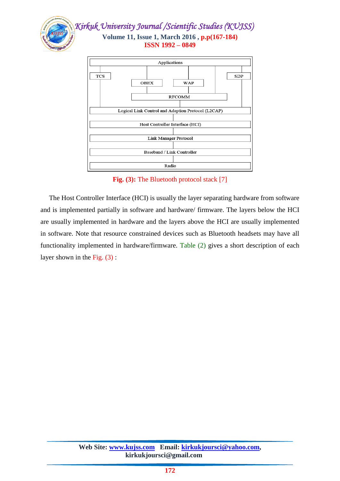



**Fig. (3):** The Bluetooth protocol stack [7]

 The Host Controller Interface (HCI) is usually the layer separating hardware from software and is implemented partially in software and hardware/ firmware. The layers below the HCI are usually implemented in hardware and the layers above the HCI are usually implemented in software. Note that resource constrained devices such as Bluetooth headsets may have all functionality implemented in hardware/firmware. Table (2) gives a short description of each layer shown in the Fig. (3) :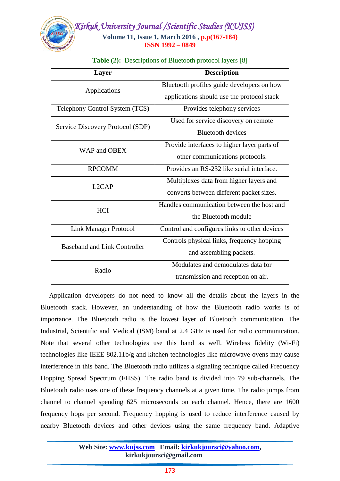

| <b>Layer</b>                                                                                                                                                                                                                     | <b>Description</b>                            |
|----------------------------------------------------------------------------------------------------------------------------------------------------------------------------------------------------------------------------------|-----------------------------------------------|
| Applications<br>Telephony Control System (TCS)<br>Service Discovery Protocol (SDP)<br>WAP and OBEX<br><b>RPCOMM</b><br>L <sub>2</sub> CAP<br><b>HCI</b><br>Link Manager Protocol<br><b>Baseband and Link Controller</b><br>Radio | Bluetooth profiles guide developers on how    |
|                                                                                                                                                                                                                                  | applications should use the protocol stack    |
|                                                                                                                                                                                                                                  | Provides telephony services                   |
|                                                                                                                                                                                                                                  | Used for service discovery on remote          |
|                                                                                                                                                                                                                                  | <b>Bluetooth devices</b>                      |
|                                                                                                                                                                                                                                  | Provide interfaces to higher layer parts of   |
|                                                                                                                                                                                                                                  | other communications protocols.               |
|                                                                                                                                                                                                                                  | Provides an RS-232 like serial interface.     |
|                                                                                                                                                                                                                                  | Multiplexes data from higher layers and       |
|                                                                                                                                                                                                                                  | converts between different packet sizes.      |
|                                                                                                                                                                                                                                  | Handles communication between the host and    |
|                                                                                                                                                                                                                                  | the Bluetooth module                          |
|                                                                                                                                                                                                                                  | Control and configures links to other devices |
|                                                                                                                                                                                                                                  | Controls physical links, frequency hopping    |
|                                                                                                                                                                                                                                  | and assembling packets.                       |
|                                                                                                                                                                                                                                  | Modulates and demodulates data for            |
|                                                                                                                                                                                                                                  | transmission and reception on air.            |

#### **Table (2):** Descriptions of Bluetooth protocol layers [8]

 Application developers do not need to know all the details about the layers in the Bluetooth stack. However, an understanding of how the Bluetooth radio works is of importance. The Bluetooth radio is the lowest layer of Bluetooth communication. The Industrial, Scientific and Medical (ISM) band at 2.4 GHz is used for radio communication. Note that several other technologies use this band as well. Wireless fidelity (Wi-Fi) technologies like IEEE 802.11b/g and kitchen technologies like microwave ovens may cause interference in this band. The Bluetooth radio utilizes a signaling technique called Frequency Hopping Spread Spectrum (FHSS). The radio band is divided into 79 sub-channels. The Bluetooth radio uses one of these frequency channels at a given time. The radio jumps from channel to channel spending 625 microseconds on each channel. Hence, there are 1600 frequency hops per second. Frequency hopping is used to reduce interference caused by nearby Bluetooth devices and other devices using the same frequency band. Adaptive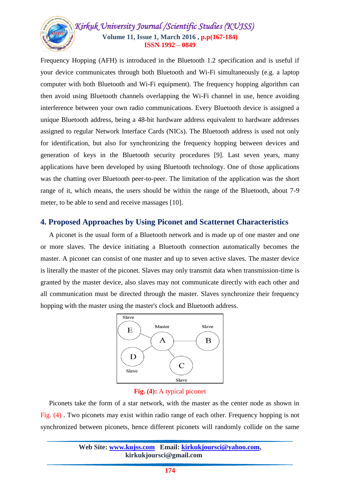

Frequency Hopping (AFH) is introduced in the Bluetooth 1.2 specification and is useful if your device communicates through both Bluetooth and Wi-Fi simultaneously (e.g. a laptop computer with both Bluetooth and Wi-Fi equipment). The frequency hopping algorithm can then avoid using Bluetooth channels overlapping the Wi-Fi channel in use, hence avoiding interference between your own radio communications. Every Bluetooth device is assigned a unique Bluetooth address, being a 48-bit hardware address equivalent to hardware addresses assigned to regular Network Interface Cards (NICs). The Bluetooth address is used not only for identification, but also for synchronizing the frequency hopping between devices and generation of keys in the Bluetooth security procedures [9]. Last seven years, many applications have been developed by using Bluetooth technology. One of those applications was the chatting over Bluetooth peer-to-peer. The limitation of the application was the short range of it, which means, the users should be within the range of the Bluetooth, about 7-9 meter, to be able to send and receive massages [10].

## **4. Proposed Approaches by Using Piconet and Scatternet Characteristics**

 A piconet is the usual form of a Bluetooth network and is made up of one master and one or more slaves. The device initiating a Bluetooth connection automatically becomes the master. A piconet can consist of one master and up to seven active slaves. The master device is literally the master of the piconet. Slaves may only transmit data when transmission-time is granted by the master device, also slaves may not communicate directly with each other and all communication must be directed through the master. Slaves synchronize their frequency hopping with the master using the master's clock and Bluetooth address.



#### **Fig. (4):** A typical piconet

 Piconets take the form of a star network, with the master as the center node as shown in Fig. (4) . Two piconets may exist within radio range of each other. Frequency hopping is not synchronized between piconets, hence different piconets will randomly collide on the same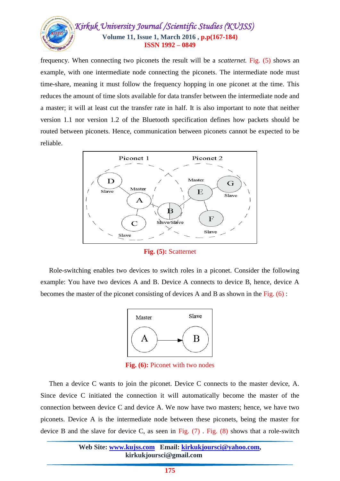

frequency. When connecting two piconets the result will be a *scatternet.* Fig. (5) shows an example, with one intermediate node connecting the piconets. The intermediate node must time-share, meaning it must follow the frequency hopping in one piconet at the time. This reduces the amount of time slots available for data transfer between the intermediate node and a master; it will at least cut the transfer rate in half. It is also important to note that neither version 1.1 nor version 1.2 of the Bluetooth specification defines how packets should be routed between piconets. Hence, communication between piconets cannot be expected to be reliable.



**Fig. (5):** Scatternet

 Role-switching enables two devices to switch roles in a piconet. Consider the following example: You have two devices A and B. Device A connects to device B, hence, device A becomes the master of the piconet consisting of devices A and B as shown in the Fig. (6) :



**Fig. (6):** Piconet with two nodes

 Then a device C wants to join the piconet. Device C connects to the master device, A. Since device C initiated the connection it will automatically become the master of the connection between device C and device A. We now have two masters; hence, we have two piconets. Device A is the intermediate node between these piconets, being the master for device B and the slave for device C, as seen in Fig.  $(7)$ . Fig.  $(8)$  shows that a role-switch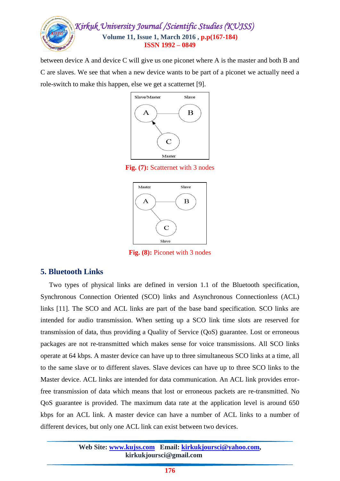

between device A and device C will give us one piconet where A is the master and both B and C are slaves. We see that when a new device wants to be part of a piconet we actually need a role-switch to make this happen, else we get a scatternet [9].



**Fig. (7):** Scatternet with 3 nodes



**Fig. (8):** Piconet with 3 nodes

# **5. Bluetooth Links**

 Two types of physical links are defined in version 1.1 of the Bluetooth specification, Synchronous Connection Oriented (SCO) links and Asynchronous Connectionless (ACL) links [11]. The SCO and ACL links are part of the base band specification. SCO links are intended for audio transmission. When setting up a SCO link time slots are reserved for transmission of data, thus providing a Quality of Service (QoS) guarantee. Lost or erroneous packages are not re-transmitted which makes sense for voice transmissions. All SCO links operate at 64 kbps. A master device can have up to three simultaneous SCO links at a time, all to the same slave or to different slaves. Slave devices can have up to three SCO links to the Master device. ACL links are intended for data communication. An ACL link provides errorfree transmission of data which means that lost or erroneous packets are re-transmitted. No QoS guarantee is provided. The maximum data rate at the application level is around 650 kbps for an ACL link. A master device can have a number of ACL links to a number of different devices, but only one ACL link can exist between two devices.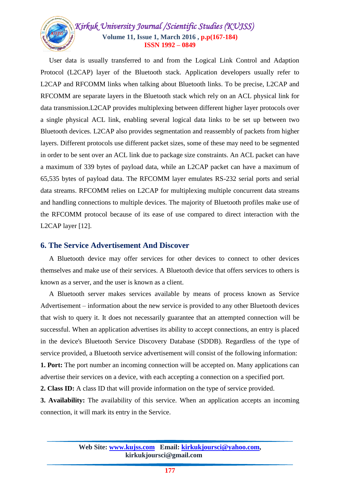

 User data is usually transferred to and from the Logical Link Control and Adaption Protocol (L2CAP) layer of the Bluetooth stack. Application developers usually refer to L2CAP and RFCOMM links when talking about Bluetooth links. To be precise, L2CAP and RFCOMM are separate layers in the Bluetooth stack which rely on an ACL physical link for data transmission.L2CAP provides multiplexing between different higher layer protocols over a single physical ACL link, enabling several logical data links to be set up between two Bluetooth devices. L2CAP also provides segmentation and reassembly of packets from higher layers. Different protocols use different packet sizes, some of these may need to be segmented in order to be sent over an ACL link due to package size constraints. An ACL packet can have a maximum of 339 bytes of payload data, while an L2CAP packet can have a maximum of 65,535 bytes of payload data. The RFCOMM layer emulates RS-232 serial ports and serial data streams. RFCOMM relies on L2CAP for multiplexing multiple concurrent data streams and handling connections to multiple devices. The majority of Bluetooth profiles make use of the RFCOMM protocol because of its ease of use compared to direct interaction with the L2CAP layer [12].

#### **6. The Service Advertisement And Discover**

 A Bluetooth device may offer services for other devices to connect to other devices themselves and make use of their services. A Bluetooth device that offers services to others is known as a server, and the user is known as a client.

 A Bluetooth server makes services available by means of process known as Service Advertisement – information about the new service is provided to any other Bluetooth devices that wish to query it. It does not necessarily guarantee that an attempted connection will be successful. When an application advertises its ability to accept connections, an entry is placed in the device's Bluetooth Service Discovery Database (SDDB). Regardless of the type of service provided, a Bluetooth service advertisement will consist of the following information:

**1. Port:** The port number an incoming connection will be accepted on. Many applications can advertise their services on a device, with each accepting a connection on a specified port.

**2. Class ID:** A class ID that will provide information on the type of service provided.

**3. Availability:** The availability of this service. When an application accepts an incoming connection, it will mark its entry in the Service.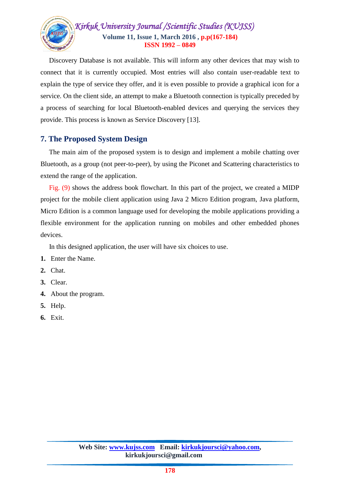

 Discovery Database is not available. This will inform any other devices that may wish to connect that it is currently occupied. Most entries will also contain user-readable text to explain the type of service they offer, and it is even possible to provide a graphical icon for a service. On the client side, an attempt to make a Bluetooth connection is typically preceded by a process of searching for local Bluetooth-enabled devices and querying the services they provide. This process is known as Service Discovery [13].

# **7. The Proposed System Design**

 The main aim of the proposed system is to design and implement a mobile chatting over Bluetooth, as a group (not peer-to-peer), by using the Piconet and Scattering characteristics to extend the range of the application.

 Fig. (9) shows the address book flowchart. In this part of the project, we created a MIDP project for the mobile client application using Java 2 Micro Edition program, Java platform, Micro Edition is a common language used for developing the mobile applications providing a flexible environment for the application running on mobiles and other embedded phones devices.

In this designed application, the user will have six choices to use.

- **1.** Enter the Name.
- **2.** Chat.
- **3.** Clear.
- **4.** About the program.
- **5.** Help.
- **6.** Exit.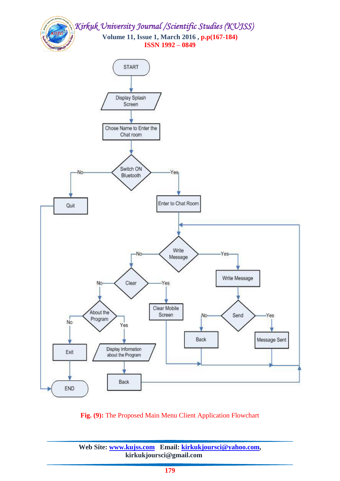



**Fig. (9):** The Proposed Main Menu Client Application Flowchart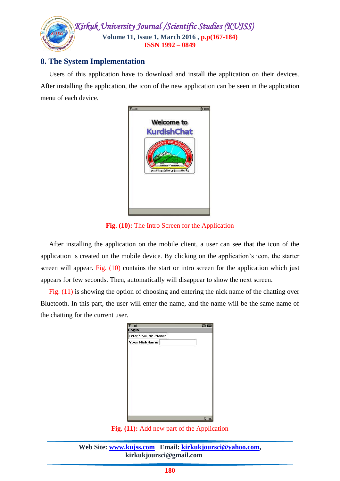

# **8. The System Implementation**

 Users of this application have to download and install the application on their devices. After installing the application, the icon of the new application can be seen in the application menu of each device.



**Fig. (10):** The Intro Screen for the Application

 After installing the application on the mobile client, a user can see that the icon of the application is created on the mobile device. By clicking on the application's icon, the starter screen will appear. Fig. (10) contains the start or intro screen for the application which just appears for few seconds. Then, automatically will disappear to show the next screen.

 Fig. (11) is showing the option of choosing and entering the nick name of the chatting over Bluetooth. In this part, the user will enter the name, and the name will be the same name of the chatting for the current user.

| $T_{\text{full}}$    | 登画 |
|----------------------|----|
| Login                |    |
| Enter Your NickName: |    |
| <b>Your NickName</b> |    |
|                      |    |
|                      |    |
|                      |    |
|                      |    |
|                      |    |
|                      |    |
|                      |    |
|                      |    |
|                      |    |
|                      |    |
|                      |    |

**Fig. (11):** Add new part of the Application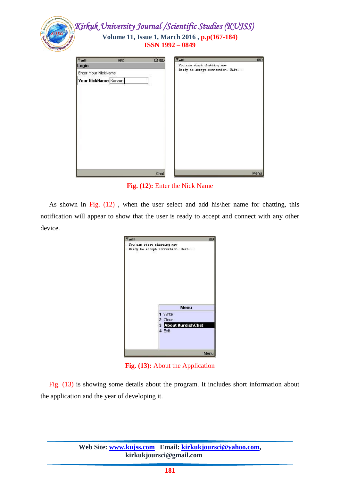| You can start chatting now<br>Ready to accept connection. Wait |
|----------------------------------------------------------------|
|                                                                |
|                                                                |
|                                                                |
|                                                                |
|                                                                |
|                                                                |
|                                                                |
|                                                                |
|                                                                |
|                                                                |
|                                                                |
|                                                                |
|                                                                |

**Fig. (12):** Enter the Nick Name

As shown in Fig. (12), when the user select and add his\her name for chatting, this notification will appear to show that the user is ready to accept and connect with any other device.

| lin."                      | 憠                                                          |  |
|----------------------------|------------------------------------------------------------|--|
| You can start chatting now | Ready to accept connection. Wait                           |  |
|                            | Menu                                                       |  |
|                            | 1 Write<br>2 Clear<br><b>3</b> About KurdishChat<br>4 Exit |  |
|                            | Menu                                                       |  |

**Fig. (13):** About the Application

 Fig. (13) is showing some details about the program. It includes short information about the application and the year of developing it.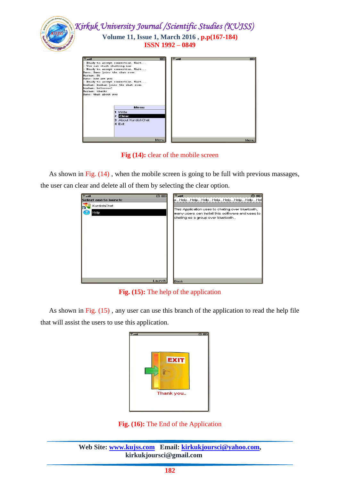

**Fig (14):** clear of the mobile screen

As shown in Fig. (14), when the mobile screen is going to be full with previous massages, the user can clear and delete all of them by selecting the clear option.



**Fig. (15):** The help of the application

As shown in Fig. (15), any user can use this branch of the application to read the help file that will assist the users to use this application.

**Fig. (16):** The End of the Application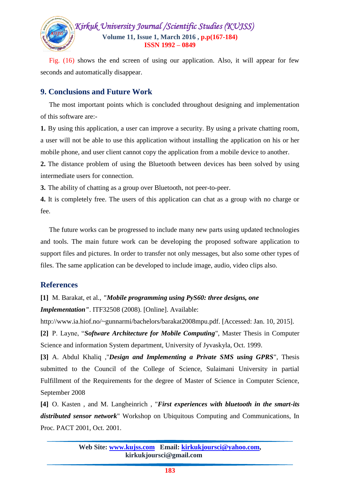

 Fig. (16) shows the end screen of using our application. Also, it will appear for few seconds and automatically disappear.

# **9. Conclusions and Future Work**

 The most important points which is concluded throughout designing and implementation of this software are:-

**1.** By using this application, a user can improve a security. By using a private chatting room, a user will not be able to use this application without installing the application on his or her mobile phone, and user client cannot copy the application from a mobile device to another.

**2.** The distance problem of using the Bluetooth between devices has been solved by using intermediate users for connection.

**3.** The ability of chatting as a group over Bluetooth, not peer-to-peer.

**4.** It is completely free. The users of this application can chat as a group with no charge or fee.

 The future works can be progressed to include many new parts using updated technologies and tools. The main future work can be developing the proposed software application to support files and pictures. In order to transfer not only messages, but also some other types of files. The same application can be developed to include image, audio, video clips also.

# **References**

**[1]** M. Barakat, et al., *"Mobile programming using PyS60: three designs, one Implementation"*. ITF32508 (2008). [Online]. Available:

[http://www.ia.hiof.no/~gunnarmi/bachelors/barakat2008mpu.pdf.](http://www.ia.hiof.no/~gunnarmi/bachelors/barakat2008mpu.pdf) [Accessed: Jan. 10, 2015].

**[2]** P. Layne, "*Software Architecture for Mobile Computing*", Master Thesis in Computer Science and information System department, University of Jyvaskyla, Oct. 1999.

**[3]** A. Abdul Khaliq ,"*Design and Implementing a Private SMS using GPRS*", Thesis submitted to the Council of the College of Science, Sulaimani University in partial Fulfillment of the Requirements for the degree of Master of Science in Computer Science, September 2008

**[4]** O. Kasten , and M. Langheinrich , "*First experiences with bluetooth in the smart-its distributed sensor network*" Workshop on Ubiquitous Computing and Communications, In Proc. PACT 2001, Oct. 2001.